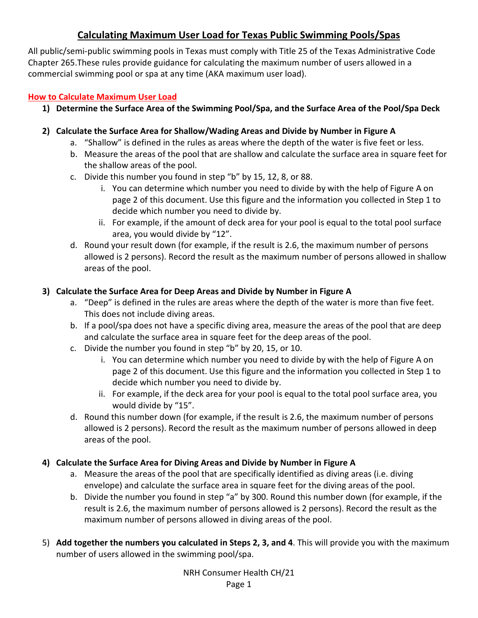# **Calculating Maximum User Load for Texas Public Swimming Pools/Spas**

All public/semi-public swimming pools in Texas must comply with Title 25 of the Texas Administrative Code Chapter 265.These rules provide guidance for calculating the maximum number of users allowed in a commercial swimming pool or spa at any time (AKA maximum user load).

#### **How to Calculate Maximum User Load**

- **1) Determine the Surface Area of the Swimming Pool/Spa, and the Surface Area of the Pool/Spa Deck**
- **2) Calculate the Surface Area for Shallow/Wading Areas and Divide by Number in Figure A** 
	- a. "Shallow" is defined in the rules as areas where the depth of the water is five feet or less.
	- b. Measure the areas of the pool that are shallow and calculate the surface area in square feet for the shallow areas of the pool.
	- c. Divide this number you found in step "b" by 15, 12, 8, or 88.
		- i. You can determine which number you need to divide by with the help of Figure A on page 2 of this document. Use this figure and the information you collected in Step 1 to decide which number you need to divide by.
		- ii. For example, if the amount of deck area for your pool is equal to the total pool surface area, you would divide by "12".
	- d. Round your result down (for example, if the result is 2.6, the maximum number of persons allowed is 2 persons). Record the result as the maximum number of persons allowed in shallow areas of the pool.

## **3) Calculate the Surface Area for Deep Areas and Divide by Number in Figure A**

- a. "Deep" is defined in the rules are areas where the depth of the water is more than five feet. This does not include diving areas.
- b. If a pool/spa does not have a specific diving area, measure the areas of the pool that are deep and calculate the surface area in square feet for the deep areas of the pool.
- c. Divide the number you found in step "b" by 20, 15, or 10.
	- i. You can determine which number you need to divide by with the help of Figure A on page 2 of this document. Use this figure and the information you collected in Step 1 to decide which number you need to divide by.
	- ii. For example, if the deck area for your pool is equal to the total pool surface area, you would divide by "15".
- d. Round this number down (for example, if the result is 2.6, the maximum number of persons allowed is 2 persons). Record the result as the maximum number of persons allowed in deep areas of the pool.

## **4) Calculate the Surface Area for Diving Areas and Divide by Number in Figure A**

- a. Measure the areas of the pool that are specifically identified as diving areas (i.e. diving envelope) and calculate the surface area in square feet for the diving areas of the pool.
- b. Divide the number you found in step "a" by 300. Round this number down (for example, if the result is 2.6, the maximum number of persons allowed is 2 persons). Record the result as the maximum number of persons allowed in diving areas of the pool.
- 5) **Add together the numbers you calculated in Steps 2, 3, and 4**. This will provide you with the maximum number of users allowed in the swimming pool/spa.